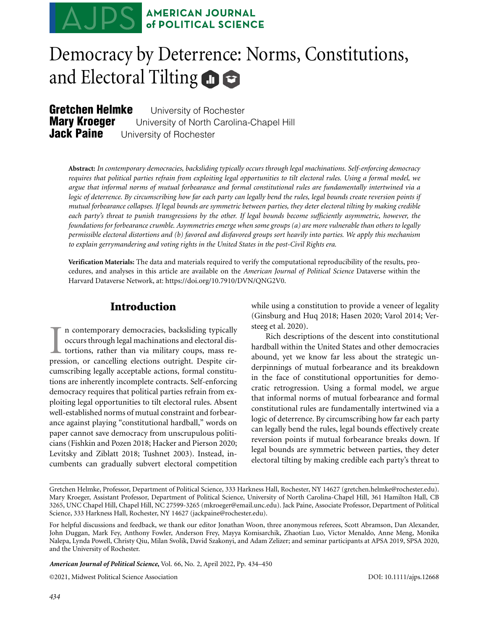

# Democracy by Deterrence: Norms, Constitutions, and Electoral Tilting **n**

**Gretchen Helmke** University of Rochester<br>Marv Kroeuer University of North Carolina **Mary Kroeger** University of North Carolina-Chapel Hill<br>**Jack Paine** University of Rochester **Jack Paine** University of Rochester

**Abstract:** *In contemporary democracies, backsliding typically occurs through legal machinations. Self-enforcing democracy requires that political parties refrain from exploiting legal opportunities to tilt electoral rules. Using a formal model, we argue that informal norms of mutual forbearance and formal constitutional rules are fundamentally intertwined via a logic of deterrence. By circumscribing how far each party can legally bend the rules, legal bounds create reversion points if mutual forbearance collapses. If legal bounds are symmetric between parties, they deter electoral tilting by making credible each party's threat to punish transgressions by the other. If legal bounds become sufficiently asymmetric, however, the foundations for forbearance crumble. Asymmetries emerge when some groups (a) are more vulnerable than others to legally permissible electoral distortions and (b) favored and disfavored groups sort heavily into parties. We apply this mechanism to explain gerrymandering and voting rights in the United States in the post-Civil Rights era.*

**Verification Materials:** The data and materials required to verify the computational reproducibility of the results, procedures, and analyses in this article are available on the *American Journal of Political Science* Dataverse within the Harvard Dataverse Network, at: [https://doi.org/10.7910/DVN/QNG2V0.](https://doi.org/10.7910/DVN/QNG2V0)

# **Introduction**

In contemporary democracies, backsliding typically occurs through legal machinations and electoral distortions, rather than via military coups, mass repression, or cancelling elections outright. Despite cirn contemporary democracies, backsliding typically occurs through legal machinations and electoral distortions, rather than via military coups, mass recumscribing legally acceptable actions, formal constitutions are inherently incomplete contracts. Self-enforcing democracy requires that political parties refrain from exploiting legal opportunities to tilt electoral rules. Absent well-established norms of mutual constraint and forbearance against playing "constitutional hardball," words on paper cannot save democracy from unscrupulous politicians (Fishkin and Pozen 2018; Hacker and Pierson 2020; Levitsky and Ziblatt 2018; Tushnet 2003). Instead, incumbents can gradually subvert electoral competition while using a constitution to provide a veneer of legality (Ginsburg and Huq 2018; Hasen 2020; Varol 2014; Versteeg et al. 2020).

Rich descriptions of the descent into constitutional hardball within the United States and other democracies abound, yet we know far less about the strategic underpinnings of mutual forbearance and its breakdown in the face of constitutional opportunities for democratic retrogression. Using a formal model, we argue that informal norms of mutual forbearance and formal constitutional rules are fundamentally intertwined via a logic of deterrence. By circumscribing how far each party can legally bend the rules, legal bounds effectively create reversion points if mutual forbearance breaks down. If legal bounds are symmetric between parties, they deter electoral tilting by making credible each party's threat to

Gretchen Helmke, Professor, Department of Political Science, 333 Harkness Hall, Rochester, NY 14627 (gretchen.helmke@rochester.edu). Mary Kroeger, Assistant Professor, Department of Political Science, University of North Carolina-Chapel Hill, 361 Hamilton Hall, CB 3265, UNC Chapel Hill, Chapel Hill, NC 27599-3265 (mkroeger@email.unc.edu). Jack Paine, Associate Professor, Department of Political Science, 333 Harkness Hall, Rochester, NY 14627 (jackpaine@rochester.edu).

For helpful discussions and feedback, we thank our editor Jonathan Woon, three anonymous referees, Scott Abramson, Dan Alexander, John Duggan, Mark Fey, Anthony Fowler, Anderson Frey, Mayya Komisarchik, Zhaotian Luo, Victor Menaldo, Anne Meng, Monika Nalepa, Lynda Powell, Christy Qiu, Milan Svolik, David Szakonyi, and Adam Zelizer; and seminar participants at APSA 2019, SPSA 2020, and the University of Rochester.

*American Journal of Political Science***,** Vol. 66, No. 2, April 2022, Pp. 434–450

©2021, Midwest Political Science Association DOI: 10.1111/ajps.12668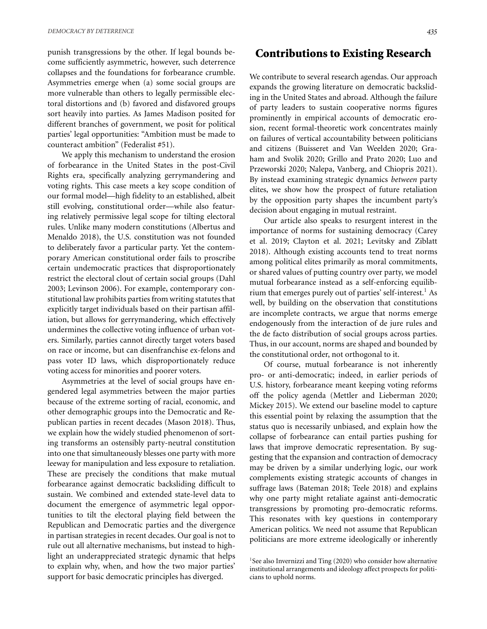punish transgressions by the other. If legal bounds become sufficiently asymmetric, however, such deterrence collapses and the foundations for forbearance crumble. Asymmetries emerge when (a) some social groups are more vulnerable than others to legally permissible electoral distortions and (b) favored and disfavored groups sort heavily into parties. As James Madison posited for different branches of government, we posit for political parties' legal opportunities: "Ambition must be made to counteract ambition" (Federalist #51).

We apply this mechanism to understand the erosion of forbearance in the United States in the post-Civil Rights era, specifically analyzing gerrymandering and voting rights. This case meets a key scope condition of our formal model—high fidelity to an established, albeit still evolving, constitutional order—while also featuring relatively permissive legal scope for tilting electoral rules. Unlike many modern constitutions (Albertus and Menaldo 2018), the U.S. constitution was not founded to deliberately favor a particular party. Yet the contemporary American constitutional order fails to proscribe certain undemocratic practices that disproportionately restrict the electoral clout of certain social groups (Dahl 2003; Levinson 2006). For example, contemporary constitutional law prohibits parties from writing statutes that explicitly target individuals based on their partisan affiliation, but allows for gerrymandering, which effectively undermines the collective voting influence of urban voters. Similarly, parties cannot directly target voters based on race or income, but can disenfranchise ex-felons and pass voter ID laws, which disproportionately reduce voting access for minorities and poorer voters.

Asymmetries at the level of social groups have engendered legal asymmetries between the major parties because of the extreme sorting of racial, economic, and other demographic groups into the Democratic and Republican parties in recent decades (Mason 2018). Thus, we explain how the widely studied phenomenon of sorting transforms an ostensibly party-neutral constitution into one that simultaneously blesses one party with more leeway for manipulation and less exposure to retaliation. These are precisely the conditions that make mutual forbearance against democratic backsliding difficult to sustain. We combined and extended state-level data to document the emergence of asymmetric legal opportunities to tilt the electoral playing field between the Republican and Democratic parties and the divergence in partisan strategies in recent decades. Our goal is not to rule out all alternative mechanisms, but instead to highlight an underappreciated strategic dynamic that helps to explain why, when, and how the two major parties' support for basic democratic principles has diverged.

## **Contributions to Existing Research**

We contribute to several research agendas. Our approach expands the growing literature on democratic backsliding in the United States and abroad. Although the failure of party leaders to sustain cooperative norms figures prominently in empirical accounts of democratic erosion, recent formal-theoretic work concentrates mainly on failures of vertical accountability between politicians and citizens (Buisseret and Van Weelden 2020; Graham and Svolik 2020; Grillo and Prato 2020; Luo and Przeworski 2020; Nalepa, Vanberg, and Chiopris 2021). By instead examining strategic dynamics *between* party elites, we show how the prospect of future retaliation by the opposition party shapes the incumbent party's decision about engaging in mutual restraint.

Our article also speaks to resurgent interest in the importance of norms for sustaining democracy (Carey et al. 2019; Clayton et al. 2021; Levitsky and Ziblatt 2018). Although existing accounts tend to treat norms among political elites primarily as moral commitments, or shared values of putting country over party, we model mutual forbearance instead as a self-enforcing equilibrium that emerges purely out of parties' self-interest.<sup>1</sup> As well, by building on the observation that constitutions are incomplete contracts, we argue that norms emerge endogenously from the interaction of de jure rules and the de facto distribution of social groups across parties. Thus, in our account, norms are shaped and bounded by the constitutional order, not orthogonal to it.

Of course, mutual forbearance is not inherently pro- or anti-democratic; indeed, in earlier periods of U.S. history, forbearance meant keeping voting reforms off the policy agenda (Mettler and Lieberman 2020; Mickey 2015). We extend our baseline model to capture this essential point by relaxing the assumption that the status quo is necessarily unbiased, and explain how the collapse of forbearance can entail parties pushing for laws that improve democratic representation. By suggesting that the expansion and contraction of democracy may be driven by a similar underlying logic, our work complements existing strategic accounts of changes in suffrage laws (Bateman 2018; Teele 2018) and explains why one party might retaliate against anti-democratic transgressions by promoting pro-democratic reforms. This resonates with key questions in contemporary American politics. We need not assume that Republican politicians are more extreme ideologically or inherently

 $1$ See also Invernizzi and Ting (2020) who consider how alternative institutional arrangements and ideology affect prospects for politicians to uphold norms.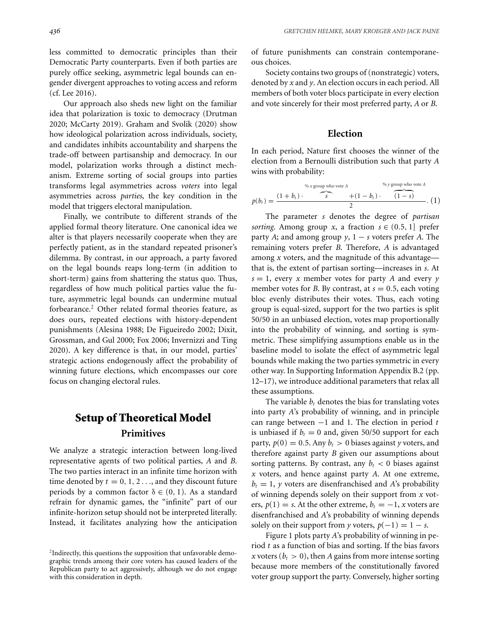less committed to democratic principles than their Democratic Party counterparts. Even if both parties are purely office seeking, asymmetric legal bounds can engender divergent approaches to voting access and reform (cf. Lee 2016).

Our approach also sheds new light on the familiar idea that polarization is toxic to democracy (Drutman 2020; McCarty 2019). Graham and Svolik (2020) show how ideological polarization across individuals, society, and candidates inhibits accountability and sharpens the trade-off between partisanship and democracy. In our model, polarization works through a distinct mechanism. Extreme sorting of social groups into parties transforms legal asymmetries across *voters* into legal asymmetries across *parties*, the key condition in the model that triggers electoral manipulation.

Finally, we contribute to different strands of the applied formal theory literature. One canonical idea we alter is that players necessarily cooperate when they are perfectly patient, as in the standard repeated prisoner's dilemma. By contrast, in our approach, a party favored on the legal bounds reaps long-term (in addition to short-term) gains from shattering the status quo. Thus, regardless of how much political parties value the future, asymmetric legal bounds can undermine mutual forbearance.<sup>2</sup> Other related formal theories feature, as does ours, repeated elections with history-dependent punishments (Alesina 1988; De Figueiredo 2002; Dixit, Grossman, and Gul 2000; Fox 2006; Invernizzi and Ting 2020). A key difference is that, in our model, parties' strategic actions endogenously affect the probability of winning future elections, which encompasses our core focus on changing electoral rules.

# **Setup of Theoretical Model Primitives**

We analyze a strategic interaction between long-lived representative agents of two political parties, *A* and *B*. The two parties interact in an infinite time horizon with time denoted by  $t = 0, 1, 2, \ldots$ , and they discount future periods by a common factor  $\delta \in (0, 1)$ . As a standard refrain for dynamic games, the "infinite" part of our infinite-horizon setup should not be interpreted literally. Instead, it facilitates analyzing how the anticipation of future punishments can constrain contemporaneous choices.

Society contains two groups of (nonstrategic) voters, denoted by *x* and *y*. An election occurs in each period. All members of both voter blocs participate in every election and vote sincerely for their most preferred party, *A* or *B*.

#### **Election**

In each period, Nature first chooses the winner of the election from a Bernoulli distribution such that party *A* wins with probability:

*<sup>p</sup>*(*bt* ) <sup>=</sup> (1 <sup>+</sup> *bt* ) · % *x* group who vote *A* - *s* +(1 − *bt* ) · % *y* group who vote *A* - (1 − *s*) <sup>2</sup> . (1)

The parameter *s* denotes the degree of *partisan sorting*. Among group *x*, a fraction  $s \in (0.5, 1]$  prefer party *A*; and among group  $y$ , 1 – *s* voters prefer *A*. The remaining voters prefer *B*. Therefore, *A* is advantaged among *x* voters, and the magnitude of this advantage that is, the extent of partisan sorting—increases in *s*. At  $s = 1$ , every *x* member votes for party *A* and every *y* member votes for *B*. By contrast, at  $s = 0.5$ , each voting bloc evenly distributes their votes. Thus, each voting group is equal-sized, support for the two parties is split 50/50 in an unbiased election, votes map proportionally into the probability of winning, and sorting is symmetric. These simplifying assumptions enable us in the baseline model to isolate the effect of asymmetric legal bounds while making the two parties symmetric in every other way. In Supporting Information Appendix B.2 (pp. 12–17), we introduce additional parameters that relax all these assumptions.

The variable  $b_t$  denotes the bias for translating votes into party *A*'s probability of winning, and in principle can range between −1 and 1. The election in period *t* is unbiased if  $b_t = 0$  and, given 50/50 support for each party,  $p(0) = 0.5$ . Any  $b_t > 0$  biases against *y* voters, and therefore against party *B* given our assumptions about sorting patterns. By contrast, any  $b_t < 0$  biases against *x* voters, and hence against party *A*. At one extreme,  $b_t = 1$ , *y* voters are disenfranchised and *A*'s probability of winning depends solely on their support from *x* voters,  $p(1) = s$ . At the other extreme,  $b_t = -1$ , *x* voters are disenfranchised and *A*'s probability of winning depends solely on their support from *y* voters,  $p(-1) = 1 - s$ .

Figure 1 plots party *A*'s probability of winning in period *t* as a function of bias and sorting. If the bias favors *x* voters ( $b_t > 0$ ), then *A* gains from more intense sorting because more members of the constitutionally favored voter group support the party. Conversely, higher sorting

<sup>2</sup>Indirectly, this questions the supposition that unfavorable demographic trends among their core voters has caused leaders of the Republican party to act aggressively, although we do not engage with this consideration in depth.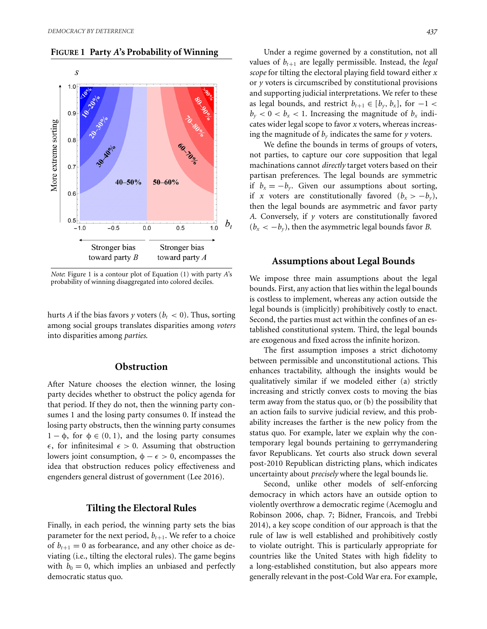#### **FIGURE 1 Party** *A***'s Probability of Winning**



*Note*: Figure 1 is a contour plot of Equation (1) with party *A*'s probability of winning disaggregated into colored deciles.

hurts *A* if the bias favors *y* voters ( $b_t < 0$ ). Thus, sorting among social groups translates disparities among *voters* into disparities among *parties*.

## **Obstruction**

After Nature chooses the election winner, the losing party decides whether to obstruct the policy agenda for that period. If they do not, then the winning party consumes 1 and the losing party consumes 0. If instead the losing party obstructs, then the winning party consumes  $1 - \phi$ , for  $\phi \in (0, 1)$ , and the losing party consumes  $\epsilon$ , for infinitesimal  $\epsilon > 0$ . Assuming that obstruction lowers joint consumption,  $\phi - \epsilon > 0$ , encompasses the idea that obstruction reduces policy effectiveness and engenders general distrust of government (Lee 2016).

#### **Tilting the Electoral Rules**

Finally, in each period, the winning party sets the bias parameter for the next period,  $b_{t+1}$ . We refer to a choice of  $b_{t+1} = 0$  as forbearance, and any other choice as deviating (i.e., tilting the electoral rules). The game begins with  $b_0 = 0$ , which implies an unbiased and perfectly democratic status quo.

Under a regime governed by a constitution, not all values of  $b_{t+1}$  are legally permissible. Instead, the *legal scope* for tilting the electoral playing field toward either *x* or *y* voters is circumscribed by constitutional provisions and supporting judicial interpretations. We refer to these as legal bounds, and restrict  $b_{t+1} \in [b_y, b_x]$ , for  $-1$  <  $b_y < 0 < b_x < 1$ . Increasing the magnitude of  $b_x$  indicates wider legal scope to favor *x* voters, whereas increasing the magnitude of  $b_y$  indicates the same for  $y$  voters.

We define the bounds in terms of groups of voters, not parties, to capture our core supposition that legal machinations cannot *directly* target voters based on their partisan preferences. The legal bounds are symmetric if  $b_x = -b_y$ . Given our assumptions about sorting, if *x* voters are constitutionally favored  $(b_x > -b_y)$ , then the legal bounds are asymmetric and favor party *A*. Conversely, if *y* voters are constitutionally favored  $(b_x < -b_y)$ , then the asymmetric legal bounds favor *B*.

## **Assumptions about Legal Bounds**

We impose three main assumptions about the legal bounds. First, any action that lies within the legal bounds is costless to implement, whereas any action outside the legal bounds is (implicitly) prohibitively costly to enact. Second, the parties must act within the confines of an established constitutional system. Third, the legal bounds are exogenous and fixed across the infinite horizon.

The first assumption imposes a strict dichotomy between permissible and unconstitutional actions. This enhances tractability, although the insights would be qualitatively similar if we modeled either (a) strictly increasing and strictly convex costs to moving the bias term away from the status quo, or (b) the possibility that an action fails to survive judicial review, and this probability increases the farther is the new policy from the status quo. For example, later we explain why the contemporary legal bounds pertaining to gerrymandering favor Republicans. Yet courts also struck down several post-2010 Republican districting plans, which indicates uncertainty about *precisely* where the legal bounds lie.

Second, unlike other models of self-enforcing democracy in which actors have an outside option to violently overthrow a democratic regime (Acemoglu and Robinson 2006, chap. 7; Bidner, Francois, and Trebbi 2014), a key scope condition of our approach is that the rule of law is well established and prohibitively costly to violate outright. This is particularly appropriate for countries like the United States with high fidelity to a long-established constitution, but also appears more generally relevant in the post-Cold War era. For example,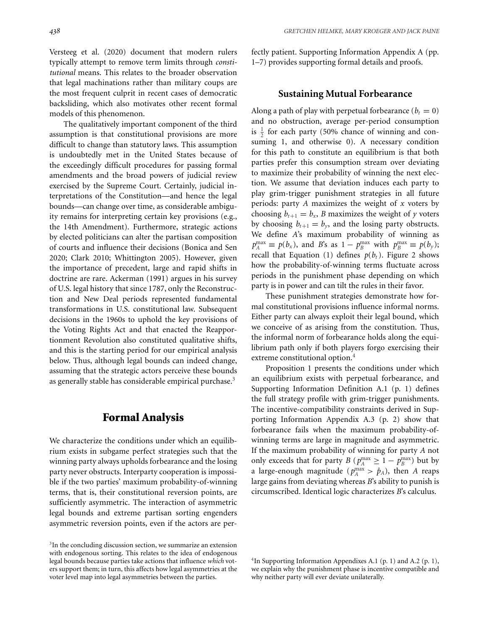Versteeg et al. (2020) document that modern rulers typically attempt to remove term limits through *constitutional* means. This relates to the broader observation that legal machinations rather than military coups are the most frequent culprit in recent cases of democratic backsliding, which also motivates other recent formal models of this phenomenon.

The qualitatively important component of the third assumption is that constitutional provisions are more difficult to change than statutory laws. This assumption is undoubtedly met in the United States because of the exceedingly difficult procedures for passing formal amendments and the broad powers of judicial review exercised by the Supreme Court. Certainly, judicial interpretations of the Constitution—and hence the legal bounds—can change over time, as considerable ambiguity remains for interpreting certain key provisions (e.g., the 14th Amendment). Furthermore, strategic actions by elected politicians can alter the partisan composition of courts and influence their decisions (Bonica and Sen 2020; Clark 2010; Whittington 2005). However, given the importance of precedent, large and rapid shifts in doctrine are rare. Ackerman (1991) argues in his survey of U.S. legal history that since 1787, only the Reconstruction and New Deal periods represented fundamental transformations in U.S. constitutional law. Subsequent decisions in the 1960s to uphold the key provisions of the Voting Rights Act and that enacted the Reapportionment Revolution also constituted qualitative shifts, and this is the starting period for our empirical analysis below. Thus, although legal bounds can indeed change, assuming that the strategic actors perceive these bounds as generally stable has considerable empirical purchase.<sup>3</sup>

## **Formal Analysis**

We characterize the conditions under which an equilibrium exists in subgame perfect strategies such that the winning party always upholds forbearance and the losing party never obstructs. Interparty cooperation is impossible if the two parties' maximum probability-of-winning terms, that is, their constitutional reversion points, are sufficiently asymmetric. The interaction of asymmetric legal bounds and extreme partisan sorting engenders asymmetric reversion points, even if the actors are perfectly patient. Supporting Information Appendix A (pp. 1–7) provides supporting formal details and proofs.

## **Sustaining Mutual Forbearance**

Along a path of play with perpetual forbearance  $(b<sub>t</sub> = 0)$ and no obstruction, average per-period consumption is  $\frac{1}{2}$  for each party (50% chance of winning and consuming 1, and otherwise 0). A necessary condition for this path to constitute an equilibrium is that both parties prefer this consumption stream over deviating to maximize their probability of winning the next election. We assume that deviation induces each party to play grim-trigger punishment strategies in all future periods: party *A* maximizes the weight of *x* voters by choosing  $b_{t+1} = b_x$ , *B* maximizes the weight of *y* voters by choosing  $b_{t+1} = b_{y}$ , and the losing party obstructs. We define *A*'s maximum probability of winning as  $p_A^{\max} \equiv p(b_x)$ , and *B*'s as  $1 - p_B^{\max}$  with  $p_B^{\max} \equiv p(b_y)$ ; recall that Equation (1) defines  $p(b_t)$ . Figure 2 shows how the probability-of-winning terms fluctuate across periods in the punishment phase depending on which party is in power and can tilt the rules in their favor.

These punishment strategies demonstrate how formal constitutional provisions influence informal norms. Either party can always exploit their legal bound, which we conceive of as arising from the constitution. Thus, the informal norm of forbearance holds along the equilibrium path only if both players forgo exercising their extreme constitutional option.<sup>4</sup>

Proposition 1 presents the conditions under which an equilibrium exists with perpetual forbearance, and Supporting Information Definition A.1 (p. 1) defines the full strategy profile with grim-trigger punishments. The incentive-compatibility constraints derived in Supporting Information Appendix A.3 (p. 2) show that forbearance fails when the maximum probability-ofwinning terms are large in magnitude and asymmetric. If the maximum probability of winning for party *A* not only exceeds that for party *B* ( $p_A^{\max} \ge 1 - p_B^{\max}$ ) but by a large-enough magnitude ( $p_A^{\text{max}} > \hat{p}_A$ ), then *A* reaps large gains from deviating whereas *B*'s ability to punish is circumscribed. Identical logic characterizes *B*'s calculus.

<sup>&</sup>lt;sup>3</sup>In the concluding discussion section, we summarize an extension with endogenous sorting. This relates to the idea of endogenous legal bounds because parties take actions that influence *which* voters support them; in turn, this affects how legal asymmetries at the voter level map into legal asymmetries between the parties.

<sup>&</sup>lt;sup>4</sup>In Supporting Information Appendixes A.1 (p. 1) and A.2 (p. 1), we explain why the punishment phase is incentive compatible and why neither party will ever deviate unilaterally.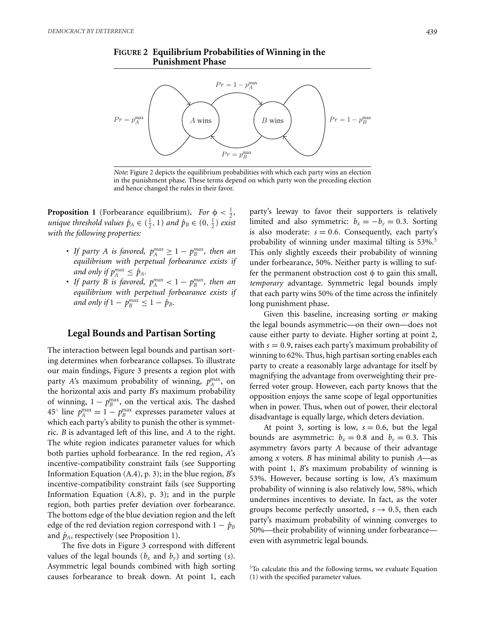



*Note*: Figure 2 depicts the equilibrium probabilities with which each party wins an election in the punishment phase. These terms depend on which party won the preceding election and hence changed the rules in their favor.

**Proposition 1** (Forbearance equilibrium). *For*  $\phi < \frac{1}{2}$ , *unique threshold values*  $\hat{p}_A \in (\frac{1}{2}, 1)$  *and*  $\hat{p}_B \in (0, \frac{1}{2})$  *exist with the following properties:*

- If party A is favored,  $p_A^{max} \geq 1 p_B^{max}$ , then an *equilibrium with perpetual forbearance exists if and only if*  $p_A^{max} \le \hat{p}_A$ .
- If party *B* is favored,  $p_A^{max} < 1 p_B^{max}$ , then an *equilibrium with perpetual forbearance exists if and only if*  $1 - p_B^{max} \leq 1 - \hat{p}_B$ .

#### **Legal Bounds and Partisan Sorting**

The interaction between legal bounds and partisan sorting determines when forbearance collapses. To illustrate our main findings, Figure 3 presents a region plot with party *A*'s maximum probability of winning,  $p_A^{\text{max}}$ , on the horizontal axis and party *B*'s maximum probability of winning,  $1 - p_B^{\text{max}}$ , on the vertical axis. The dashed  $45^{\circ}$  line  $p_A^{\text{max}} = 1 - p_B^{\text{max}}$  expresses parameter values at which each party's ability to punish the other is symmetric. *B* is advantaged left of this line, and *A* to the right. The white region indicates parameter values for which both parties uphold forbearance. In the red region, *A*'s incentive-compatibility constraint fails (see Supporting Information Equation (A.4), p. 3); in the blue region, *B*'s incentive-compatibility constraint fails (see Supporting Information Equation (A.8), p. 3); and in the purple region, both parties prefer deviation over forbearance. The bottom edge of the blue deviation region and the left edge of the red deviation region correspond with  $1 - \hat{p}_B$ and  $\hat{p}_A$ , respectively (see Proposition 1).

The five dots in Figure 3 correspond with different values of the legal bounds ( $b_x$  and  $b_y$ ) and sorting (*s*). Asymmetric legal bounds combined with high sorting causes forbearance to break down. At point 1, each

party's leeway to favor their supporters is relatively limited and also symmetric:  $b_x = -b_y = 0.3$ . Sorting is also moderate:  $s = 0.6$ . Consequently, each party's probability of winning under maximal tilting is 53%.<sup>5</sup> This only slightly exceeds their probability of winning under forbearance, 50%. Neither party is willing to suffer the permanent obstruction cost  $\phi$  to gain this small, *temporary* advantage. Symmetric legal bounds imply that each party wins 50% of the time across the infinitely long punishment phase.

Given this baseline, increasing sorting *or* making the legal bounds asymmetric—on their own—does not cause either party to deviate. Higher sorting at point 2, with *s* = 0.9, raises each party's maximum probability of winning to 62%. Thus, high partisan sorting enables each party to create a reasonably large advantage for itself by magnifying the advantage from overweighting their preferred voter group. However, each party knows that the opposition enjoys the same scope of legal opportunities when in power. Thus, when out of power, their electoral disadvantage is equally large, which deters deviation.

At point 3, sorting is low,  $s = 0.6$ , but the legal bounds are asymmetric:  $b_x = 0.8$  and  $b_y = 0.3$ . This asymmetry favors party *A* because of their advantage among *x* voters. *B* has minimal ability to punish *A*—as with point 1, *B*'s maximum probability of winning is 53%. However, because sorting is low, *A*'s maximum probability of winning is also relatively low, 58%, which undermines incentives to deviate. In fact, as the voter groups become perfectly unsorted,  $s \rightarrow 0.5$ , then each party's maximum probability of winning converges to 50%—their probability of winning under forbearance even with asymmetric legal bounds.

<sup>&</sup>lt;sup>5</sup>To calculate this and the following terms, we evaluate Equation (1) with the specified parameter values.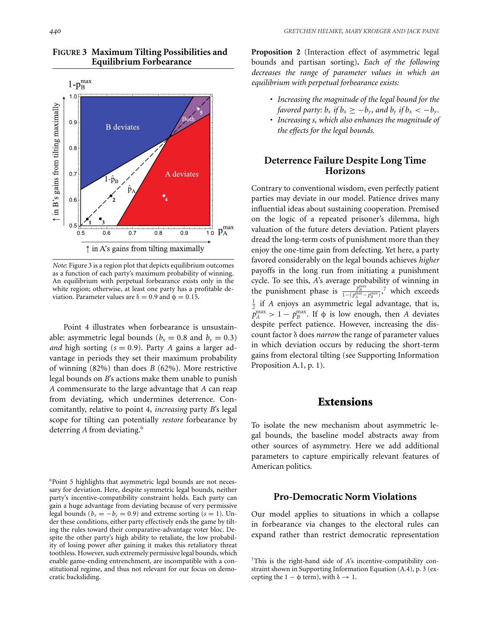

## **FIGURE 3 Maximum Tilting Possibilities and Equilibrium Forbearance**

*Note*: Figure 3 is a region plot that depicts equilibrium outcomes as a function of each party's maximum probability of winning. An equilibrium with perpetual forbearance exists only in the white region; otherwise, at least one party has a profitable deviation. Parameter values are  $\delta = 0.9$  and  $\phi = 0.15$ .

Point 4 illustrates when forbearance is unsustainable: asymmetric legal bounds ( $b_x = 0.8$  and  $b_y = 0.3$ ) *and* high sorting  $(s = 0.9)$ . Party *A* gains a larger advantage in periods they set their maximum probability of winning (82%) than does *B* (62%). More restrictive legal bounds on *B*'s actions make them unable to punish *A* commensurate to the large advantage that *A* can reap from deviating, which undermines deterrence. Concomitantly, relative to point 4, *increasing* party *B*'s legal scope for tilting can potentially *restore* forbearance by deterring *A* from deviating.<sup>6</sup>

**Proposition 2** (Interaction effect of asymmetric legal bounds and partisan sorting)**.** *Each of the following decreases the range of parameter values in which an equilibrium with perpetual forbearance exists:*

- *Increasing the magnitude of the legal bound for the favored party:*  $b_x$  *if*  $b_x \geq -b_y$ *, and*  $b_y$  *if*  $b_x < -b_y$ *.*
- *Increasing s, which also enhances the magnitude of the effects for the legal bounds.*

## **Deterrence Failure Despite Long Time Horizons**

Contrary to conventional wisdom, even perfectly patient parties may deviate in our model. Patience drives many influential ideas about sustaining cooperation. Premised on the logic of a repeated prisoner's dilemma, high valuation of the future deters deviation. Patient players dread the long-term costs of punishment more than they enjoy the one-time gain from defecting. Yet here, a party favored considerably on the legal bounds achieves *higher* payoffs in the long run from initiating a punishment cycle. To see this, *A*'s average probability of winning in the punishment phase is  $\frac{p_B^{\text{max}}}{1-(p_A^{\text{max}}-p_B^{\text{max}})}$ ,<sup>7</sup> which exceeds  $\frac{1}{2}$  if *A* enjoys an asymmetric legal advantage, that is,  $p_A^{\text{max}} > 1 - p_B^{\text{max}}$ . If  $\phi$  is low enough, then *A* deviates despite perfect patience. However, increasing the discount factor δ does *narrow* the range of parameter values in which deviation occurs by reducing the short-term gains from electoral tilting (see Supporting Information Proposition A.1, p. 1).

# **Extensions**

To isolate the new mechanism about asymmetric legal bounds, the baseline model abstracts away from other sources of asymmetry. Here we add additional parameters to capture empirically relevant features of American politics.

## **Pro-Democratic Norm Violations**

Our model applies to situations in which a collapse in forbearance via changes to the electoral rules can expand rather than restrict democratic representation

<sup>&</sup>lt;sup>6</sup>Point 5 highlights that asymmetric legal bounds are not necessary for deviation. Here, despite symmetric legal bounds, neither party's incentive-compatibility constraint holds. Each party can gain a huge advantage from deviating because of very permissive legal bounds ( $b_x = -b_y = 0.9$ ) and extreme sorting ( $s = 1$ ). Under these conditions, either party effectively ends the game by tilting the rules toward their comparative-advantage voter bloc. Despite the other party's high ability to retaliate, the low probability of losing power after gaining it makes this retaliatory threat toothless. However, such extremely permissive legal bounds, which enable game-ending entrenchment, are incompatible with a constitutional regime, and thus not relevant for our focus on democratic backsliding.

<sup>7</sup>This is the right-hand side of *A*'s incentive-compatibility constraint shown in Supporting Information Equation (A.4), p. 3 (excepting the  $1 - \phi$  term), with  $\delta \rightarrow 1$ .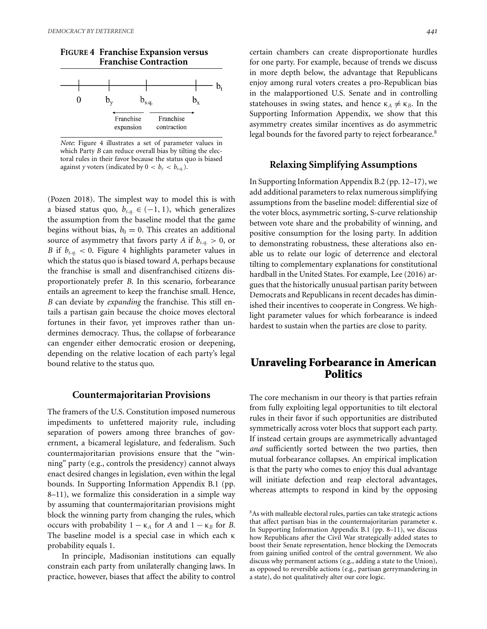

*Note*: Figure 4 illustrates a set of parameter values in which Party *B* can reduce overall bias by tilting the electoral rules in their favor because the status quo is biased against *y* voters (indicated by  $0 < b_y < b_{s,q.}$ ).

(Pozen 2018). The simplest way to model this is with a biased status quo,  $b_{s,q}$  ∈ (−1, 1), which generalizes the assumption from the baseline model that the game begins without bias,  $b_0 = 0$ . This creates an additional source of asymmetry that favors party *A* if  $b_{s,q.} > 0$ , or *B* if  $b_{s,q}$  < 0. Figure 4 highlights parameter values in which the status quo is biased toward *A*, perhaps because the franchise is small and disenfranchised citizens disproportionately prefer *B*. In this scenario, forbearance entails an agreement to keep the franchise small. Hence, *B* can deviate by *expanding* the franchise. This still entails a partisan gain because the choice moves electoral fortunes in their favor, yet improves rather than undermines democracy. Thus, the collapse of forbearance can engender either democratic erosion or deepening, depending on the relative location of each party's legal bound relative to the status quo.

#### **Countermajoritarian Provisions**

The framers of the U.S. Constitution imposed numerous impediments to unfettered majority rule, including separation of powers among three branches of government, a bicameral legislature, and federalism. Such countermajoritarian provisions ensure that the "winning" party (e.g., controls the presidency) cannot always enact desired changes in legislation, even within the legal bounds. In Supporting Information Appendix B.1 (pp. 8–11), we formalize this consideration in a simple way by assuming that countermajoritarian provisions might block the winning party from changing the rules, which occurs with probability  $1 - κ<sub>A</sub>$  for *A* and  $1 − κ<sub>B</sub>$  for *B*. The baseline model is a special case in which each κ probability equals 1.

In principle, Madisonian institutions can equally constrain each party from unilaterally changing laws. In practice, however, biases that affect the ability to control certain chambers can create disproportionate hurdles for one party. For example, because of trends we discuss in more depth below, the advantage that Republicans enjoy among rural voters creates a pro-Republican bias in the malapportioned U.S. Senate and in controlling statehouses in swing states, and hence  $\kappa_A \neq \kappa_B$ . In the Supporting Information Appendix, we show that this asymmetry creates similar incentives as do asymmetric legal bounds for the favored party to reject forbearance.<sup>8</sup>

#### **Relaxing Simplifying Assumptions**

In Supporting Information Appendix B.2 (pp. 12–17), we add additional parameters to relax numerous simplifying assumptions from the baseline model: differential size of the voter blocs, asymmetric sorting, S-curve relationship between vote share and the probability of winning, and positive consumption for the losing party. In addition to demonstrating robustness, these alterations also enable us to relate our logic of deterrence and electoral tilting to complementary explanations for constitutional hardball in the United States. For example, Lee (2016) argues that the historically unusual partisan parity between Democrats and Republicans in recent decades has diminished their incentives to cooperate in Congress. We highlight parameter values for which forbearance is indeed hardest to sustain when the parties are close to parity.

# **Unraveling Forbearance in American Politics**

The core mechanism in our theory is that parties refrain from fully exploiting legal opportunities to tilt electoral rules in their favor if such opportunities are distributed symmetrically across voter blocs that support each party. If instead certain groups are asymmetrically advantaged *and* sufficiently sorted between the two parties, then mutual forbearance collapses. An empirical implication is that the party who comes to enjoy this dual advantage will initiate defection and reap electoral advantages, whereas attempts to respond in kind by the opposing

<sup>&</sup>lt;sup>8</sup>As with malleable electoral rules, parties can take strategic actions that affect partisan bias in the countermajoritarian parameter κ. In Supporting Information Appendix B.1 (pp. 8–11), we discuss how Republicans after the Civil War strategically added states to boost their Senate representation, hence blocking the Democrats from gaining unified control of the central government. We also discuss why permanent actions (e.g., adding a state to the Union), as opposed to reversible actions (e.g., partisan gerrymandering in a state), do not qualitatively alter our core logic.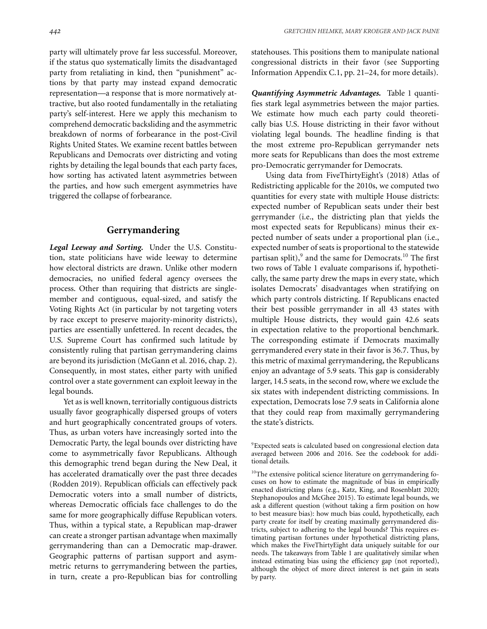party will ultimately prove far less successful. Moreover, if the status quo systematically limits the disadvantaged party from retaliating in kind, then "punishment" actions by that party may instead expand democratic representation—a response that is more normatively attractive, but also rooted fundamentally in the retaliating party's self-interest. Here we apply this mechanism to comprehend democratic backsliding and the asymmetric breakdown of norms of forbearance in the post-Civil Rights United States. We examine recent battles between Republicans and Democrats over districting and voting rights by detailing the legal bounds that each party faces, how sorting has activated latent asymmetries between the parties, and how such emergent asymmetries have triggered the collapse of forbearance.

#### **Gerrymandering**

*Legal Leeway and Sorting.* Under the U.S. Constitution, state politicians have wide leeway to determine how electoral districts are drawn. Unlike other modern democracies, no unified federal agency oversees the process. Other than requiring that districts are singlemember and contiguous, equal-sized, and satisfy the Voting Rights Act (in particular by not targeting voters by race except to preserve majority-minority districts), parties are essentially unfettered. In recent decades, the U.S. Supreme Court has confirmed such latitude by consistently ruling that partisan gerrymandering claims are beyond its jurisdiction (McGann et al. 2016, chap. 2). Consequently, in most states, either party with unified control over a state government can exploit leeway in the legal bounds.

Yet as is well known, territorially contiguous districts usually favor geographically dispersed groups of voters and hurt geographically concentrated groups of voters. Thus, as urban voters have increasingly sorted into the Democratic Party, the legal bounds over districting have come to asymmetrically favor Republicans. Although this demographic trend began during the New Deal, it has accelerated dramatically over the past three decades (Rodden 2019). Republican officials can effectively pack Democratic voters into a small number of districts, whereas Democratic officials face challenges to do the same for more geographically diffuse Republican voters. Thus, within a typical state, a Republican map-drawer can create a stronger partisan advantage when maximally gerrymandering than can a Democratic map-drawer. Geographic patterns of partisan support and asymmetric returns to gerrymandering between the parties, in turn, create a pro-Republican bias for controlling statehouses. This positions them to manipulate national congressional districts in their favor (see Supporting Information Appendix C.1, pp. 21–24, for more details).

*Quantifying Asymmetric Advantages.* Table 1 quantifies stark legal asymmetries between the major parties. We estimate how much each party could theoretically bias U.S. House districting in their favor without violating legal bounds. The headline finding is that the most extreme pro-Republican gerrymander nets more seats for Republicans than does the most extreme pro-Democratic gerrymander for Democrats.

Using data from FiveThirtyEight's (2018) Atlas of Redistricting applicable for the 2010s, we computed two quantities for every state with multiple House districts: expected number of Republican seats under their best gerrymander (i.e., the districting plan that yields the most expected seats for Republicans) minus their expected number of seats under a proportional plan (i.e., expected number of seats is proportional to the statewide partisan split), $9$  and the same for Democrats.<sup>10</sup> The first two rows of Table 1 evaluate comparisons if, hypothetically, the same party drew the maps in every state, which isolates Democrats' disadvantages when stratifying on which party controls districting. If Republicans enacted their best possible gerrymander in all 43 states with multiple House districts, they would gain 42.6 seats in expectation relative to the proportional benchmark. The corresponding estimate if Democrats maximally gerrymandered every state in their favor is 36.7. Thus, by this metric of maximal gerrymandering, the Republicans enjoy an advantage of 5.9 seats. This gap is considerably larger, 14.5 seats, in the second row, where we exclude the six states with independent districting commissions. In expectation, Democrats lose 7.9 seats in California alone that they could reap from maximally gerrymandering the state's districts.

<sup>9</sup>Expected seats is calculated based on congressional election data averaged between 2006 and 2016. See the codebook for additional details.

<sup>&</sup>lt;sup>10</sup>The extensive political science literature on gerrymandering focuses on how to estimate the magnitude of bias in empirically enacted districting plans (e.g., Katz, King, and Rosenblatt 2020; Stephanopoulos and McGhee 2015). To estimate legal bounds, we ask a different question (without taking a firm position on how to best measure bias): how much bias could, hypothetically, each party create for itself by creating maximally gerrymandered districts, subject to adhering to the legal bounds? This requires estimating partisan fortunes under hypothetical districting plans, which makes the FiveThirtyEight data uniquely suitable for our needs. The takeaways from Table 1 are qualitatively similar when instead estimating bias using the efficiency gap (not reported), although the object of more direct interest is net gain in seats by party.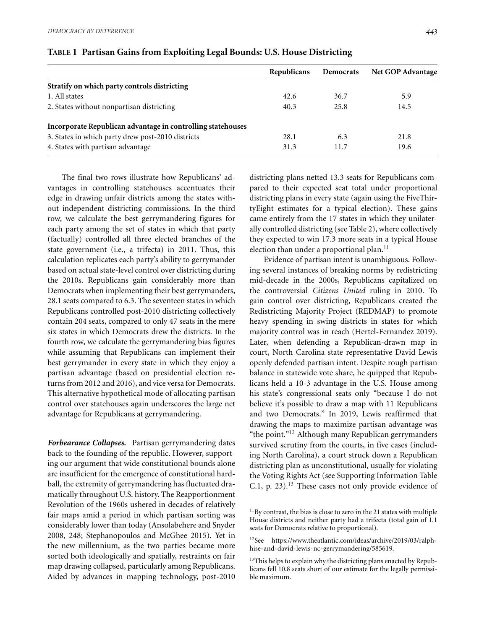|                                                             | Republicans | Democrats | <b>Net GOP Advantage</b> |
|-------------------------------------------------------------|-------------|-----------|--------------------------|
| Stratify on which party controls districting                |             |           |                          |
| 1. All states                                               | 42.6        | 36.7      | 5.9                      |
| 2. States without nonpartisan districting                   | 40.3        | 25.8      | 14.5                     |
| Incorporate Republican advantage in controlling statehouses |             |           |                          |
| 3. States in which party drew post-2010 districts           | 28.1        | 6.3       | 21.8                     |
| 4. States with partisan advantage                           | 31.3        | 11.7      | 19.6                     |

## **TABLE 1 Partisan Gains from Exploiting Legal Bounds: U.S. House Districting**

The final two rows illustrate how Republicans' advantages in controlling statehouses accentuates their edge in drawing unfair districts among the states without independent districting commissions. In the third row, we calculate the best gerrymandering figures for each party among the set of states in which that party (factually) controlled all three elected branches of the state government (i.e., a trifecta) in 2011. Thus, this calculation replicates each party's ability to gerrymander based on actual state-level control over districting during the 2010s. Republicans gain considerably more than Democrats when implementing their best gerrymanders, 28.1 seats compared to 6.3. The seventeen states in which Republicans controlled post-2010 districting collectively contain 204 seats, compared to only 47 seats in the mere six states in which Democrats drew the districts. In the fourth row, we calculate the gerrymandering bias figures while assuming that Republicans can implement their best gerrymander in every state in which they enjoy a partisan advantage (based on presidential election returns from 2012 and 2016), and vice versa for Democrats. This alternative hypothetical mode of allocating partisan control over statehouses again underscores the large net advantage for Republicans at gerrymandering.

*Forbearance Collapses.* Partisan gerrymandering dates back to the founding of the republic. However, supporting our argument that wide constitutional bounds alone are insufficient for the emergence of constitutional hardball, the extremity of gerrymandering has fluctuated dramatically throughout U.S. history. The Reapportionment Revolution of the 1960s ushered in decades of relatively fair maps amid a period in which partisan sorting was considerably lower than today (Ansolabehere and Snyder 2008, 248; Stephanopoulos and McGhee 2015). Yet in the new millennium, as the two parties became more sorted both ideologically and spatially, restraints on fair map drawing collapsed, particularly among Republicans. Aided by advances in mapping technology, post-2010

districting plans netted 13.3 seats for Republicans compared to their expected seat total under proportional districting plans in every state (again using the FiveThirtyEight estimates for a typical election). These gains came entirely from the 17 states in which they unilaterally controlled districting (see Table 2), where collectively they expected to win 17.3 more seats in a typical House election than under a proportional plan.<sup>11</sup>

Evidence of partisan intent is unambiguous. Following several instances of breaking norms by redistricting mid-decade in the 2000s, Republicans capitalized on the controversial *Citizens United* ruling in 2010. To gain control over districting, Republicans created the Redistricting Majority Project (REDMAP) to promote heavy spending in swing districts in states for which majority control was in reach (Hertel-Fernandez 2019). Later, when defending a Republican-drawn map in court, North Carolina state representative David Lewis openly defended partisan intent. Despite rough partisan balance in statewide vote share, he quipped that Republicans held a 10-3 advantage in the U.S. House among his state's congressional seats only "because I do not believe it's possible to draw a map with 11 Republicans and two Democrats." In 2019, Lewis reaffirmed that drawing the maps to maximize partisan advantage was "the point."12 Although many Republican gerrymanders survived scrutiny from the courts, in five cases (including North Carolina), a court struck down a Republican districting plan as unconstitutional, usually for violating the Voting Rights Act (see Supporting Information Table C.1, p.  $23$ ).<sup>13</sup> These cases not only provide evidence of

 $11$ By contrast, the bias is close to zero in the 21 states with multiple House districts and neither party had a trifecta (total gain of 1.1 seats for Democrats relative to proportional).

<sup>12</sup>See [https://www.theatlantic.com/ideas/archive/2019/03/ralph](https://www.theatlantic.com/ideas/archive/2019/03/ralph-hise-and-david-lewis-nc-gerrymandering/585619)[hise-and-david-lewis-nc-gerrymandering/585619.](https://www.theatlantic.com/ideas/archive/2019/03/ralph-hise-and-david-lewis-nc-gerrymandering/585619)

<sup>&</sup>lt;sup>13</sup>This helps to explain why the districting plans enacted by Republicans fell 10.8 seats short of our estimate for the legally permissible maximum.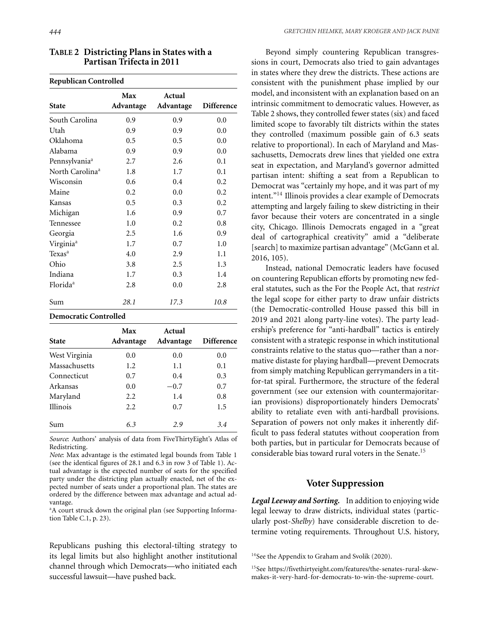| <b>Republican Controlled</b> |                  |                     |            |  |  |
|------------------------------|------------------|---------------------|------------|--|--|
| <b>State</b>                 | Max<br>Advantage | Actual<br>Advantage | Difference |  |  |
| South Carolina               | 0.9              | 0.9                 | 0.0        |  |  |
| Utah                         | 0.9              | 0.9                 | 0.0        |  |  |
| Oklahoma                     | 0.5              | 0.5                 | 0.0        |  |  |
| Alabama                      | 0.9              | 0.9                 | 0.0        |  |  |
| Pennsylvania <sup>a</sup>    | 2.7              | 2.6                 | 0.1        |  |  |
| North Carolina <sup>a</sup>  | 1.8              | 1.7                 | 0.1        |  |  |
| Wisconsin                    | 0.6              | 0.4                 | 0.2        |  |  |
| Maine                        | 0.2              | 0.0                 | 0.2        |  |  |
| Kansas                       | 0.5              | 0.3                 | 0.2        |  |  |
| Michigan                     | 1.6              | 0.9                 | 0.7        |  |  |
| Tennessee                    | 1.0              | 0.2                 | 0.8        |  |  |
| Georgia                      | 2.5              | 1.6                 | 0.9        |  |  |
| Virginia <sup>a</sup>        | 1.7              | 0.7                 | 1.0        |  |  |
| Texas <sup>a</sup>           | 4.0              | 2.9                 | 1.1        |  |  |
| Ohio                         | 3.8              | 2.5                 | 1.3        |  |  |
| Indiana                      | 1.7              | 0.3                 | 1.4        |  |  |

**TABLE 2 Districting Plans in States with a Partisan Trifecta in 2011**

**Democratic Controlled**

| <b>State</b>    | Max<br>Advantage | Actual<br>Advantage | Difference |  |
|-----------------|------------------|---------------------|------------|--|
| West Virginia   | 0.0              | 0.0                 | 0.0        |  |
| Massachusetts   | 1.2              | 1.1                 | 0.1        |  |
| Connecticut     | 0.7              | 0.4                 | 0.3        |  |
| Arkansas        | 0.0              | $-0.7$              | 0.7        |  |
| Maryland        | 2.2              | 1.4                 | 0.8        |  |
| <b>Illinois</b> | 2.2              | 0.7                 | 1.5        |  |
| Sum             | 6.3              | 2.9                 | 3.4        |  |

Florida<sup>a</sup> 2.8 0.0 2.8

Sum *28.1 17.3 10.8*

*Source*: Authors' analysis of data from FiveThirtyEight's Atlas of Redistricting.

*Note*: Max advantage is the estimated legal bounds from Table 1 (see the identical figures of 28.1 and 6.3 in row 3 of Table 1). Actual advantage is the expected number of seats for the specified party under the districting plan actually enacted, net of the expected number of seats under a proportional plan. The states are ordered by the difference between max advantage and actual advantage.

<sup>a</sup>A court struck down the original plan (see Supporting Information Table C.1, p. 23).

Republicans pushing this electoral-tilting strategy to its legal limits but also highlight another institutional channel through which Democrats—who initiated each successful lawsuit—have pushed back.

Beyond simply countering Republican transgressions in court, Democrats also tried to gain advantages in states where they drew the districts. These actions are consistent with the punishment phase implied by our model, and inconsistent with an explanation based on an intrinsic commitment to democratic values. However, as Table 2 shows, they controlled fewer states (six) and faced limited scope to favorably tilt districts within the states they controlled (maximum possible gain of 6.3 seats relative to proportional). In each of Maryland and Massachusetts, Democrats drew lines that yielded one extra seat in expectation, and Maryland's governor admitted partisan intent: shifting a seat from a Republican to Democrat was "certainly my hope, and it was part of my intent."14 Illinois provides a clear example of Democrats attempting and largely failing to skew districting in their favor because their voters are concentrated in a single city, Chicago. Illinois Democrats engaged in a "great deal of cartographical creativity" amid a "deliberate [search] to maximize partisan advantage" (McGann et al. 2016, 105).

Instead, national Democratic leaders have focused on countering Republican efforts by promoting new federal statutes, such as the For the People Act, that *restrict* the legal scope for either party to draw unfair districts (the Democratic-controlled House passed this bill in 2019 and 2021 along party-line votes). The party leadership's preference for "anti-hardball" tactics is entirely consistent with a strategic response in which institutional constraints relative to the status quo—rather than a normative distaste for playing hardball—prevent Democrats from simply matching Republican gerrymanders in a titfor-tat spiral. Furthermore, the structure of the federal government (see our extension with countermajoritarian provisions) disproportionately hinders Democrats' ability to retaliate even with anti-hardball provisions. Separation of powers not only makes it inherently difficult to pass federal statutes without cooperation from both parties, but in particular for Democrats because of considerable bias toward rural voters in the Senate.<sup>15</sup>

## **Voter Suppression**

*Legal Leeway and Sorting.* In addition to enjoying wide legal leeway to draw districts, individual states (particularly post-*Shelby*) have considerable discretion to determine voting requirements. Throughout U.S. history,

<sup>14</sup>See the Appendix to Graham and Svolik (2020).

15See [https://fivethirtyeight.com/features/the-senates-rural-skew](https://fivethirtyeight.com/features/the-senates-rural-skew-makes-it-very-hard-for-democrats-to-win-the-supreme-court)[makes-it-very-hard-for-democrats-to-win-the-supreme-court.](https://fivethirtyeight.com/features/the-senates-rural-skew-makes-it-very-hard-for-democrats-to-win-the-supreme-court)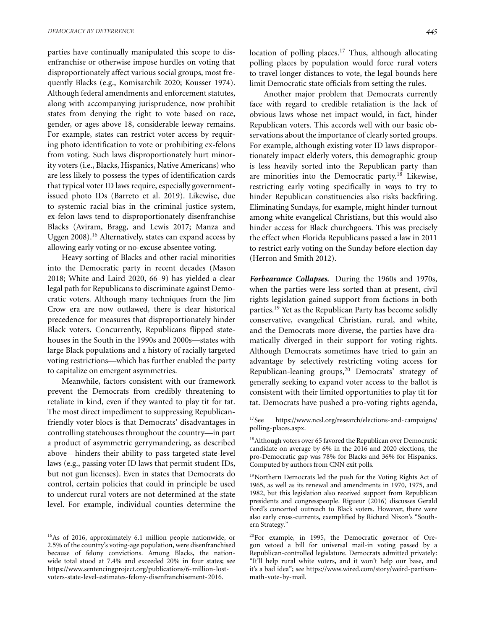parties have continually manipulated this scope to disenfranchise or otherwise impose hurdles on voting that disproportionately affect various social groups, most frequently Blacks (e.g., Komisarchik 2020; Kousser 1974). Although federal amendments and enforcement statutes, along with accompanying jurisprudence, now prohibit states from denying the right to vote based on race, gender, or ages above 18, considerable leeway remains. For example, states can restrict voter access by requiring photo identification to vote or prohibiting ex-felons from voting. Such laws disproportionately hurt minority voters (i.e., Blacks, Hispanics, Native Americans) who are less likely to possess the types of identification cards that typical voter ID laws require, especially governmentissued photo IDs (Barreto et al. 2019). Likewise, due to systemic racial bias in the criminal justice system, ex-felon laws tend to disproportionately disenfranchise Blacks (Aviram, Bragg, and Lewis 2017; Manza and Uggen 2008).<sup>16</sup> Alternatively, states can expand access by allowing early voting or no-excuse absentee voting.

Heavy sorting of Blacks and other racial minorities into the Democratic party in recent decades (Mason 2018; White and Laird 2020, 66–9) has yielded a clear legal path for Republicans to discriminate against Democratic voters. Although many techniques from the Jim Crow era are now outlawed, there is clear historical precedence for measures that disproportionately hinder Black voters. Concurrently, Republicans flipped statehouses in the South in the 1990s and 2000s—states with large Black populations and a history of racially targeted voting restrictions—which has further enabled the party to capitalize on emergent asymmetries.

Meanwhile, factors consistent with our framework prevent the Democrats from credibly threatening to retaliate in kind, even if they wanted to play tit for tat. The most direct impediment to suppressing Republicanfriendly voter blocs is that Democrats' disadvantages in controlling statehouses throughout the country—in part a product of asymmetric gerrymandering, as described above—hinders their ability to pass targeted state-level laws (e.g., passing voter ID laws that permit student IDs, but not gun licenses). Even in states that Democrats do control, certain policies that could in principle be used to undercut rural voters are not determined at the state level. For example, individual counties determine the

<sup>16</sup>As of 2016, approximately 6.1 million people nationwide, or 2.5% of the country's voting-age population, were disenfranchised because of felony convictions. Among Blacks, the nationwide total stood at 7.4% and exceeded 20% in four states; see [https://www.sentencingproject.org/publications/6-million-lost](https://www.sentencingproject.org/publications/6-million-lost-voters-state-level-estimates-felony-disenfranchisement-2016)[voters-state-level-estimates-felony-disenfranchisement-2016.](https://www.sentencingproject.org/publications/6-million-lost-voters-state-level-estimates-felony-disenfranchisement-2016)

location of polling places.<sup>17</sup> Thus, although allocating polling places by population would force rural voters to travel longer distances to vote, the legal bounds here limit Democratic state officials from setting the rules.

Another major problem that Democrats currently face with regard to credible retaliation is the lack of obvious laws whose net impact would, in fact, hinder Republican voters. This accords well with our basic observations about the importance of clearly sorted groups. For example, although existing voter ID laws disproportionately impact elderly voters, this demographic group is less heavily sorted into the Republican party than are minorities into the Democratic party.<sup>18</sup> Likewise, restricting early voting specifically in ways to try to hinder Republican constituencies also risks backfiring. Eliminating Sundays, for example, might hinder turnout among white evangelical Christians, but this would also hinder access for Black churchgoers. This was precisely the effect when Florida Republicans passed a law in 2011 to restrict early voting on the Sunday before election day (Herron and Smith 2012).

*Forbearance Collapses.* During the 1960s and 1970s, when the parties were less sorted than at present, civil rights legislation gained support from factions in both parties.<sup>19</sup> Yet as the Republican Party has become solidly conservative, evangelical Christian, rural, and white, and the Democrats more diverse, the parties have dramatically diverged in their support for voting rights. Although Democrats sometimes have tried to gain an advantage by selectively restricting voting access for Republican-leaning groups, $20$  Democrats' strategy of generally seeking to expand voter access to the ballot is consistent with their limited opportunities to play tit for tat. Democrats have pushed a pro-voting rights agenda,

17See [https://www.ncsl.org/research/elections-and-campaigns/](https://www.ncsl.org/research/elections-and-campaigns/polling-places.aspx) [polling-places.aspx.](https://www.ncsl.org/research/elections-and-campaigns/polling-places.aspx)

<sup>18</sup> Although voters over 65 favored the Republican over Democratic candidate on average by 6% in the 2016 and 2020 elections, the pro-Democratic gap was 78% for Blacks and 36% for Hispanics. Computed by authors from CNN exit polls.

<sup>19</sup>Northern Democrats led the push for the Voting Rights Act of 1965, as well as its renewal and amendments in 1970, 1975, and 1982, but this legislation also received support from Republican presidents and congresspeople. Rigueur (2016) discusses Gerald Ford's concerted outreach to Black voters. However, there were also early cross-currents, exemplified by Richard Nixon's "Southern Strategy."

<sup>20</sup>For example, in 1995, the Democratic governor of Oregon vetoed a bill for universal mail-in voting passed by a Republican-controlled legislature. Democrats admitted privately: "It'll help rural white voters, and it won't help our base, and it's a bad idea"; see [https://www.wired.com/story/weird-partisan](https://www.wired.com/story/weird-partisan-math-vote-by-mail)[math-vote-by-mail.](https://www.wired.com/story/weird-partisan-math-vote-by-mail)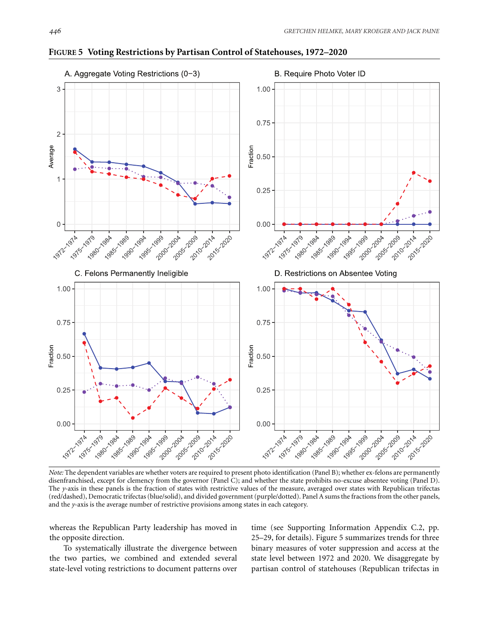

**FIGURE 5 Voting Restrictions by Partisan Control of Statehouses, 1972–2020**

*Note:* The dependent variables are whether voters are required to present photo identification (Panel B); whether ex-felons are permanently disenfranchised, except for clemency from the governor (Panel C); and whether the state prohibits no-excuse absentee voting (Panel D). The *y*-axis in these panels is the fraction of states with restrictive values of the measure, averaged over states with Republican trifectas (red/dashed), Democratic trifectas (blue/solid), and divided government (purple/dotted). Panel A sums the fractions from the other panels, and the *y*-axis is the average number of restrictive provisions among states in each category.

whereas the Republican Party leadership has moved in the opposite direction.

To systematically illustrate the divergence between the two parties, we combined and extended several state-level voting restrictions to document patterns over time (see Supporting Information Appendix C.2, pp. 25–29, for details). Figure 5 summarizes trends for three binary measures of voter suppression and access at the state level between 1972 and 2020. We disaggregate by partisan control of statehouses (Republican trifectas in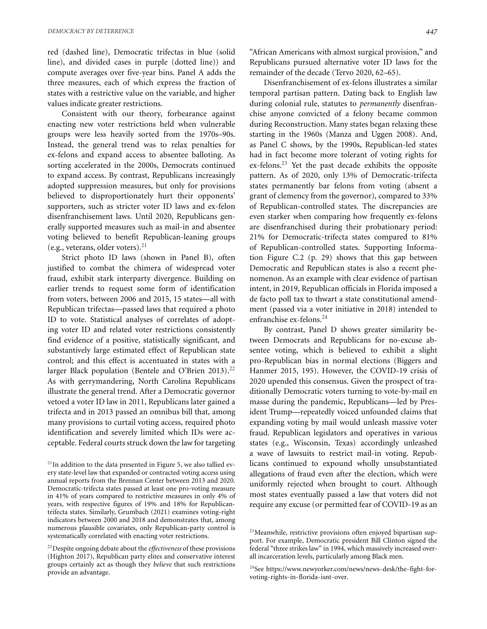red (dashed line), Democratic trifectas in blue (solid line), and divided cases in purple (dotted line)) and compute averages over five-year bins. Panel A adds the three measures, each of which express the fraction of states with a restrictive value on the variable, and higher values indicate greater restrictions.

Consistent with our theory, forbearance against enacting new voter restrictions held when vulnerable groups were less heavily sorted from the 1970s–90s. Instead, the general trend was to relax penalties for ex-felons and expand access to absentee balloting. As sorting accelerated in the 2000s, Democrats continued to expand access. By contrast, Republicans increasingly adopted suppression measures, but only for provisions believed to disproportionately hurt their opponents' supporters, such as stricter voter ID laws and ex-felon disenfranchisement laws. Until 2020, Republicans generally supported measures such as mail-in and absentee voting believed to benefit Republican-leaning groups (e.g., veterans, older voters). $^{21}$ 

Strict photo ID laws (shown in Panel B), often justified to combat the chimera of widespread voter fraud, exhibit stark interparty divergence. Building on earlier trends to request some form of identification from voters, between 2006 and 2015, 15 states—all with Republican trifectas—passed laws that required a photo ID to vote. Statistical analyses of correlates of adopting voter ID and related voter restrictions consistently find evidence of a positive, statistically significant, and substantively large estimated effect of Republican state control; and this effect is accentuated in states with a larger Black population (Bentele and O'Brien 2013).<sup>22</sup> As with gerrymandering, North Carolina Republicans illustrate the general trend. After a Democratic governor vetoed a voter ID law in 2011, Republicans later gained a trifecta and in 2013 passed an omnibus bill that, among many provisions to curtail voting access, required photo identification and severely limited which IDs were acceptable. Federal courts struck down the law for targeting "African Americans with almost surgical provision," and Republicans pursued alternative voter ID laws for the remainder of the decade (Tervo 2020, 62–65).

Disenfranchisement of ex-felons illustrates a similar temporal partisan pattern. Dating back to English law during colonial rule, statutes to *permanently* disenfranchise anyone convicted of a felony became common during Reconstruction. Many states began relaxing these starting in the 1960s (Manza and Uggen 2008). And, as Panel C shows, by the 1990s, Republican-led states had in fact become more tolerant of voting rights for ex-felons.<sup>23</sup> Yet the past decade exhibits the opposite pattern. As of 2020, only 13% of Democratic-trifecta states permanently bar felons from voting (absent a grant of clemency from the governor), compared to 33% of Republican-controlled states. The discrepancies are even starker when comparing how frequently ex-felons are disenfranchised during their probationary period: 21% for Democratic-trifecta states compared to 81% of Republican-controlled states. Supporting Information Figure C.2 (p. 29) shows that this gap between Democratic and Republican states is also a recent phenomenon. As an example with clear evidence of partisan intent, in 2019, Republican officials in Florida imposed a de facto poll tax to thwart a state constitutional amendment (passed via a voter initiative in 2018) intended to enfranchise ex-felons.<sup>24</sup>

By contrast, Panel D shows greater similarity between Democrats and Republicans for no-excuse absentee voting, which is believed to exhibit a slight pro-Republican bias in normal elections (Biggers and Hanmer 2015, 195). However, the COVID-19 crisis of 2020 upended this consensus. Given the prospect of traditionally Democratic voters turning to vote-by-mail en masse during the pandemic, Republicans—led by President Trump—repeatedly voiced unfounded claims that expanding voting by mail would unleash massive voter fraud. Republican legislators and operatives in various states (e.g., Wisconsin, Texas) accordingly unleashed a wave of lawsuits to restrict mail-in voting. Republicans continued to expound wholly unsubstantiated allegations of fraud even after the election, which were uniformly rejected when brought to court. Although most states eventually passed a law that voters did not require any excuse (or permitted fear of COVID-19 as an

 $21$ In addition to the data presented in Figure 5, we also tallied every state-level law that expanded or contracted voting access using annual reports from the Brennan Center between 2013 and 2020. Democratic-trifecta states passed at least one pro-voting measure in 41% of years compared to restrictive measures in only 4% of years, with respective figures of 19% and 18% for Republicantrifecta states. Similarly, Grumbach (2021) examines voting-right indicators between 2000 and 2018 and demonstrates that, among numerous plausible covariates, only Republican-party control is systematically correlated with enacting voter restrictions.

<sup>22</sup>Despite ongoing debate about the *effectiveness* of these provisions (Highton 2017), Republican party elites and conservative interest groups certainly act as though they *believe* that such restrictions provide an advantage.

<sup>&</sup>lt;sup>23</sup>Meanwhile, restrictive provisions often enjoyed bipartisan support. For example, Democratic president Bill Clinton signed the federal "three strikes law" in 1994, which massively increased overall incarceration levels, particularly among Black men.

<sup>&</sup>lt;sup>24</sup>See [https://www.newyorker.com/news/news-desk/the-fight-for](https://www.newyorker.com/news/news-desk/the-fight-for-voting-rights-in-florida-isnt-over)[voting-rights-in-florida-isnt-over.](https://www.newyorker.com/news/news-desk/the-fight-for-voting-rights-in-florida-isnt-over)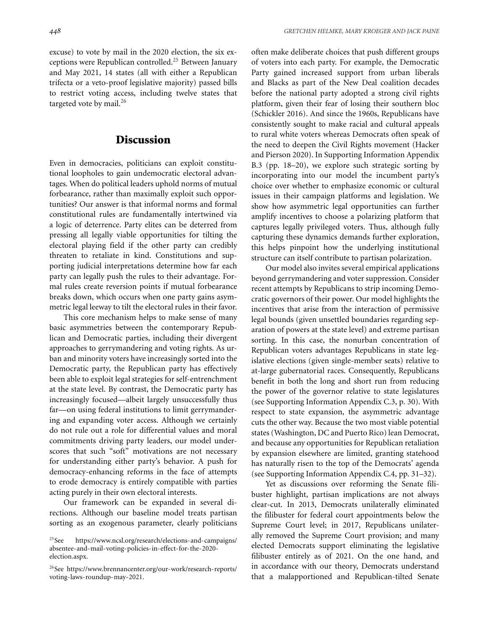excuse) to vote by mail in the 2020 election, the six exceptions were Republican controlled.<sup>25</sup> Between January and May 2021, 14 states (all with either a Republican trifecta or a veto-proof legislative majority) passed bills to restrict voting access, including twelve states that targeted vote by mail.<sup>26</sup>

## **Discussion**

Even in democracies, politicians can exploit constitutional loopholes to gain undemocratic electoral advantages. When do political leaders uphold norms of mutual forbearance, rather than maximally exploit such opportunities? Our answer is that informal norms and formal constitutional rules are fundamentally intertwined via a logic of deterrence. Party elites can be deterred from pressing all legally viable opportunities for tilting the electoral playing field if the other party can credibly threaten to retaliate in kind. Constitutions and supporting judicial interpretations determine how far each party can legally push the rules to their advantage. Formal rules create reversion points if mutual forbearance breaks down, which occurs when one party gains asymmetric legal leeway to tilt the electoral rules in their favor.

This core mechanism helps to make sense of many basic asymmetries between the contemporary Republican and Democratic parties, including their divergent approaches to gerrymandering and voting rights. As urban and minority voters have increasingly sorted into the Democratic party, the Republican party has effectively been able to exploit legal strategies for self-entrenchment at the state level. By contrast, the Democratic party has increasingly focused—albeit largely unsuccessfully thus far—on using federal institutions to limit gerrymandering and expanding voter access. Although we certainly do not rule out a role for differential values and moral commitments driving party leaders, our model underscores that such "soft" motivations are not necessary for understanding either party's behavior. A push for democracy-enhancing reforms in the face of attempts to erode democracy is entirely compatible with parties acting purely in their own electoral interests.

Our framework can be expanded in several directions. Although our baseline model treats partisan sorting as an exogenous parameter, clearly politicians often make deliberate choices that push different groups of voters into each party. For example, the Democratic Party gained increased support from urban liberals and Blacks as part of the New Deal coalition decades before the national party adopted a strong civil rights platform, given their fear of losing their southern bloc (Schickler 2016). And since the 1960s, Republicans have consistently sought to make racial and cultural appeals to rural white voters whereas Democrats often speak of the need to deepen the Civil Rights movement (Hacker and Pierson 2020). In Supporting Information Appendix B.3 (pp. 18–20), we explore such strategic sorting by incorporating into our model the incumbent party's choice over whether to emphasize economic or cultural issues in their campaign platforms and legislation. We show how asymmetric legal opportunities can further amplify incentives to choose a polarizing platform that captures legally privileged voters. Thus, although fully capturing these dynamics demands further exploration, this helps pinpoint how the underlying institutional structure can itself contribute to partisan polarization.

Our model also invites several empirical applications beyond gerrymandering and voter suppression. Consider recent attempts by Republicans to strip incoming Democratic governors of their power. Our model highlights the incentives that arise from the interaction of permissive legal bounds (given unsettled boundaries regarding separation of powers at the state level) and extreme partisan sorting. In this case, the nonurban concentration of Republican voters advantages Republicans in state legislative elections (given single-member seats) relative to at-large gubernatorial races. Consequently, Republicans benefit in both the long and short run from reducing the power of the governor relative to state legislatures (see Supporting Information Appendix C.3, p. 30). With respect to state expansion, the asymmetric advantage cuts the other way. Because the two most viable potential states (Washington, DC and Puerto Rico) lean Democrat, and because any opportunities for Republican retaliation by expansion elsewhere are limited, granting statehood has naturally risen to the top of the Democrats' agenda (see Supporting Information Appendix C.4, pp. 31–32).

Yet as discussions over reforming the Senate filibuster highlight, partisan implications are not always clear-cut. In 2013, Democrats unilaterally eliminated the filibuster for federal court appointments below the Supreme Court level; in 2017, Republicans unilaterally removed the Supreme Court provision; and many elected Democrats support eliminating the legislative filibuster entirely as of 2021. On the one hand, and in accordance with our theory, Democrats understand that a malapportioned and Republican-tilted Senate

<sup>25</sup>See [https://www.ncsl.org/research/elections-and-campaigns/](https://www.ncsl.org/research/elections-and-campaigns/absentee-and-mail-voting-policies-in-effect-for-the-2020-election.aspx) [absentee-and-mail-voting-policies-in-effect-for-the-2020](https://www.ncsl.org/research/elections-and-campaigns/absentee-and-mail-voting-policies-in-effect-for-the-2020-election.aspx) [election.aspx.](https://www.ncsl.org/research/elections-and-campaigns/absentee-and-mail-voting-policies-in-effect-for-the-2020-election.aspx)

<sup>26</sup>See [https://www.brennancenter.org/our-work/research-reports/](https://www.brennancenter.org/our-work/research-reports/voting-laws-roundup-may-2021) [voting-laws-roundup-may-2021.](https://www.brennancenter.org/our-work/research-reports/voting-laws-roundup-may-2021)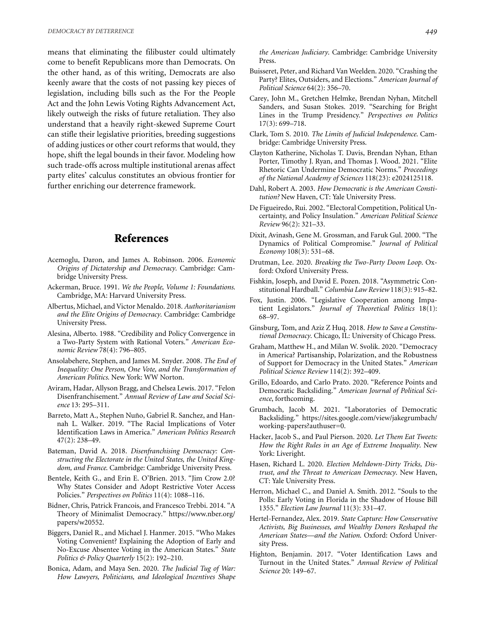means that eliminating the filibuster could ultimately come to benefit Republicans more than Democrats. On the other hand, as of this writing, Democrats are also keenly aware that the costs of not passing key pieces of legislation, including bills such as the For the People Act and the John Lewis Voting Rights Advancement Act, likely outweigh the risks of future retaliation. They also understand that a heavily right-skewed Supreme Court can stifle their legislative priorities, breeding suggestions of adding justices or other court reforms that would, they hope, shift the legal bounds in their favor. Modeling how such trade-offs across multiple institutional arenas affect party elites' calculus constitutes an obvious frontier for further enriching our deterrence framework.

## **References**

- Acemoglu, Daron, and James A. Robinson. 2006. *Economic Origins of Dictatorship and Democracy*. Cambridge: Cambridge University Press.
- Ackerman, Bruce. 1991. *We the People, Volume 1: Foundations*. Cambridge, MA: Harvard University Press.
- Albertus, Michael, and Victor Menaldo. 2018. *Authoritarianism and the Elite Origins of Democracy*. Cambridge: Cambridge University Press.
- Alesina, Alberto. 1988. "Credibility and Policy Convergence in a Two-Party System with Rational Voters." *American Economic Review* 78(4): 796–805.
- Ansolabehere, Stephen, and James M. Snyder. 2008. *The End of Inequality: One Person, One Vote, and the Transformation of American Politics*. New York: WW Norton.
- Aviram, Hadar, Allyson Bragg, and Chelsea Lewis. 2017. "Felon Disenfranchisement." *Annual Review of Law and Social Science* 13: 295–311.
- Barreto, Matt A., Stephen Nuño, Gabriel R. Sanchez, and Hannah L. Walker. 2019. "The Racial Implications of Voter Identification Laws in America." *American Politics Research* 47(2): 238–49.
- Bateman, David A. 2018. *Disenfranchising Democracy: Constructing the Electorate in the United States, the United Kingdom, and France*. Cambridge: Cambridge University Press.
- Bentele, Keith G., and Erin E. O'Brien. 2013. "Jim Crow 2.0? Why States Consider and Adopt Restrictive Voter Access Policies." *Perspectives on Politics* 11(4): 1088–116.
- Bidner, Chris, Patrick Francois, and Francesco Trebbi. 2014. "A Theory of Minimalist Democracy." [https://www.nber.org/](https://www.nber.org/papers/w20552) [papers/w20552.](https://www.nber.org/papers/w20552)
- Biggers, Daniel R., and Michael J. Hanmer. 2015. "Who Makes Voting Convenient? Explaining the Adoption of Early and No-Excuse Absentee Voting in the American States." *State Politics & Policy Quarterly* 15(2): 192–210.
- Bonica, Adam, and Maya Sen. 2020. *The Judicial Tug of War: How Lawyers, Politicians, and Ideological Incentives Shape*

*the American Judiciary*. Cambridge: Cambridge University Press.

- Buisseret, Peter, and Richard Van Weelden. 2020. "Crashing the Party? Elites, Outsiders, and Elections." *American Journal of Political Science* 64(2): 356–70.
- Carey, John M., Gretchen Helmke, Brendan Nyhan, Mitchell Sanders, and Susan Stokes. 2019. "Searching for Bright Lines in the Trump Presidency." *Perspectives on Politics* 17(3): 699–718.
- Clark, Tom S. 2010. *The Limits of Judicial Independence*. Cambridge: Cambridge University Press.
- Clayton Katherine, Nicholas T. Davis, Brendan Nyhan, Ethan Porter, Timothy J. Ryan, and Thomas J. Wood. 2021. "Elite Rhetoric Can Undermine Democratic Norms." *Proceedings of the National Academy of Sciences* 118(23): e2024125118.
- Dahl, Robert A. 2003. *How Democratic is the American Constitution?* New Haven, CT: Yale University Press.
- De Figueiredo, Rui. 2002. "Electoral Competition, Political Uncertainty, and Policy Insulation." *American Political Science Review* 96(2): 321–33.
- Dixit, Avinash, Gene M. Grossman, and Faruk Gul. 2000. "The Dynamics of Political Compromise." *Journal of Political Economy* 108(3): 531–68.
- Drutman, Lee. 2020. *Breaking the Two-Party Doom Loop*. Oxford: Oxford University Press.
- Fishkin, Joseph, and David E. Pozen. 2018. "Asymmetric Constitutional Hardball." *Columbia Law Review* 118(3): 915–82.
- Fox, Justin. 2006. "Legislative Cooperation among Impatient Legislators." *Journal of Theoretical Politics* 18(1): 68–97.
- Ginsburg, Tom, and Aziz Z Huq. 2018. *How to Save a Constitutional Democracy*. Chicago, IL: University of Chicago Press.
- Graham, Matthew H., and Milan W. Svolik. 2020. "Democracy in America? Partisanship, Polarization, and the Robustness of Support for Democracy in the United States." *American Political Science Review* 114(2): 392–409.
- Grillo, Edoardo, and Carlo Prato. 2020. "Reference Points and Democratic Backsliding." *American Journal of Political Science*, forthcoming.
- Grumbach, Jacob M. 2021. "Laboratories of Democratic Backsliding." [https://sites.google.com/view/jakegrumbach/](https://sites.google.com/view/jakegrumbach/working-papers?authuser=0) [working-papers?authuser=0.](https://sites.google.com/view/jakegrumbach/working-papers?authuser=0)
- Hacker, Jacob S., and Paul Pierson. 2020. *Let Them Eat Tweets: How the Right Rules in an Age of Extreme Inequality*. New York: Liveright.
- Hasen, Richard L. 2020. *Election Meltdown-Dirty Tricks, Distrust, and the Threat to American Democracy*. New Haven, CT: Yale University Press.
- Herron, Michael C., and Daniel A. Smith. 2012. "Souls to the Polls: Early Voting in Florida in the Shadow of House Bill 1355." *Election Law Journal* 11(3): 331–47.
- Hertel-Fernandez, Alex. 2019. *State Capture: How Conservative Activists, Big Businesses, and Wealthy Donors Reshaped the American States—and the Nation*. Oxford: Oxford University Press.
- Highton, Benjamin. 2017. "Voter Identification Laws and Turnout in the United States." *Annual Review of Political Science* 20: 149–67.